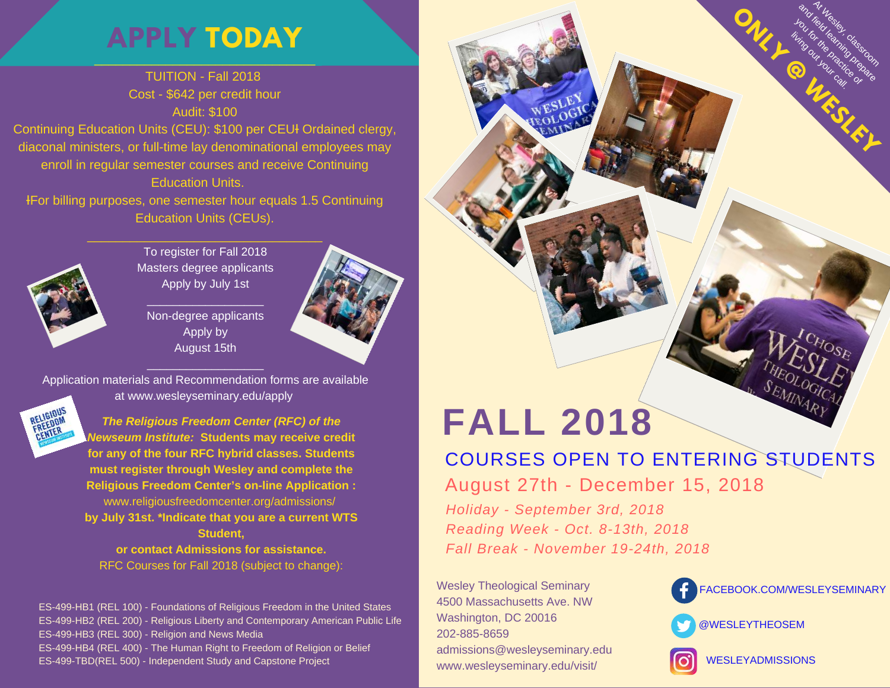## \_\_\_\_\_\_\_\_\_\_\_\_\_\_\_\_\_\_\_\_\_\_\_\_\_\_\_\_\_\_\_ **APPLY [TODAY](https://www.wesleyseminary.edu/admissions-2/)**

### TUITION - Fall 2018 Cost - \$642 per credit hour Audit: \$100 Continuing Education Units (CEU): \$100 per CEUł Ordained clergy,

diaconal ministers, or full-time lay denominational employees may enroll in regular semester courses and receive Continuing Education Units.

ƗFor billing purposes, one semester hour equals 1.5 Continuing Education Units (CEUs).



To register for Fall 2018 Masters degree applicants Apply by July 1st

 $\mathcal{L}_\text{max}$  , where  $\mathcal{L}_\text{max}$  , we have the set of  $\mathcal{L}_\text{max}$ 

Non-degree applicants Apply by August 15th



Application materials and Recommendation forms are available at www.wesleyseminary.edu/apply

 $\mathcal{L}_\text{max}$  , where  $\mathcal{L}_\text{max}$  , we have the set of  $\mathcal{L}_\text{max}$ 



*The Religious Freedom Center (RFC) of the Newseum Institute:* **Students may receive credit for any of the four RFC hybrid classes. Students must register through Wesley and complete the Religious Freedom Center's on-line Application :** www.religiousfreedomcenter.org/admissions/ **by July 31st. \*Indicate that you are a current WTS Student, or contact Admissions for assistance.** RFC Courses for Fall 2018 (subject to change):

ES-499-HB1 (REL 100) - Foundations of Religious Freedom in the United States ES-499-HB2 (REL 200) - Religious Liberty and Contemporary American Public Life ES-499-HB3 (REL 300) - Religion and News Media ES-499-HB4 (REL 400) - The Human Right to Freedom of Religion or Belief ES-499-TBD(REL 500) - Independent Study and Capstone Project

# **FALL 2018**

COURSES OPEN TO ENTERING STUDENTS

August 27th - December 15, 2018

*Holiday - September 3rd, 2018 Reading Week - Oct. 8-13th, 2018 Fall Break - November 19-24th, 2018*

Wesley Theological Seminary 4500 Massachusetts Ave. NW Washington, DC 20016 202-885-8659 admissions@wesleyseminary.edu www.wesleyseminary.edu/visit/



**ONLY PRIVATE DEPAND** 

At Wesley,<br>Television classroom<br>Intelligence process and future and prepared to the contract of the contract of the contract of the contract of the contract of the<br>field learning prepared to the contract of the contract of the contract of the contract of the contract of th<br>a you for the prime of the product of the product of the product of the control of the control of the control of<br>The product of the product of the control of the control of the control of the control of the control of the c<br> living out of the

.